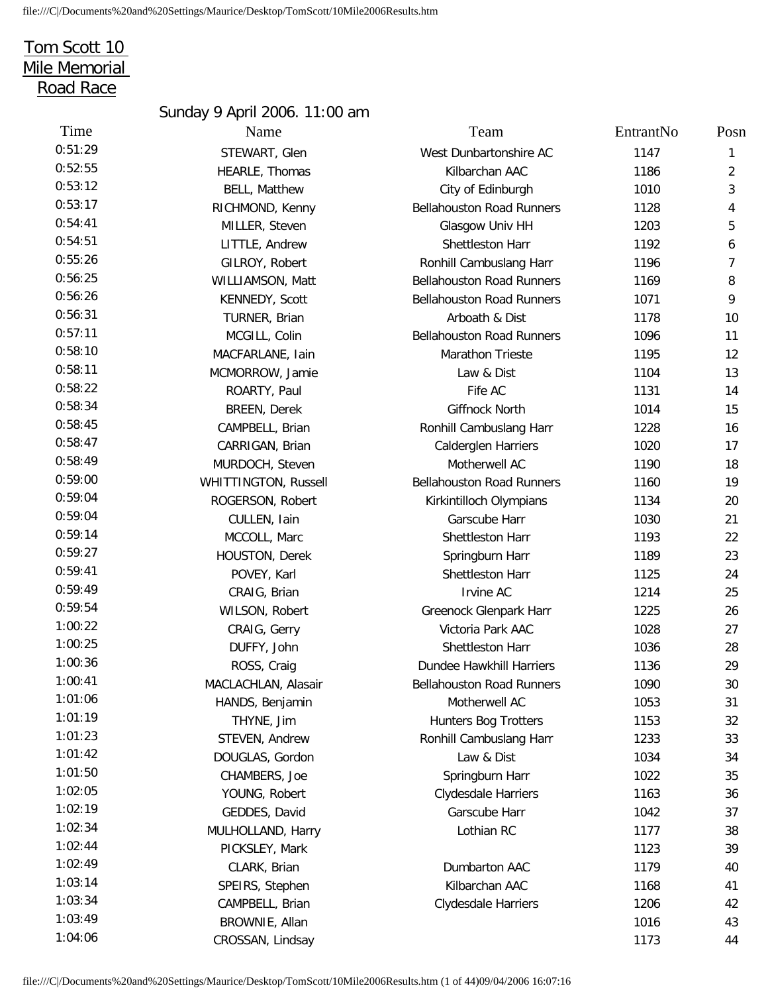## Tom Scott 10 Mile Memorial Road Race

## Sunday 9 April 2006. 11:00 am 0:51:29 STEWART, Glen 0:52:55 HEARLE, Thomas 0:53:17 RICHMOND, Kenny 0:54:41 MILLER, Steven 0:54:51 LITTLE, Andrew 0:55:26 GILROY, Robert 0:56:25 WILLIAMSON, Matt 0:56:26 KENNEDY, Scott 0:58:10 MACFARLANE, Iain 0:58:11 MCMORROW, Jamie 0:58:45 CAMPBELL, Brian 0:58:47 CARRIGAN, Brian 0:58:49 MURDOCH, Steven 0:59:00 WHITTINGTON, Russell 0:59:04 ROGERSON, Robert 0:59:27 HOUSTON, Derek 0:59:54 WILSON, Robert 1:00:41 MACLACHLAN, Alasair 1:01:06 HANDS, Benjamin 1:01:23 STEVEN, Andrew 1:01:42 DOUGLAS, Gordon 1:01:50 CHAMBERS, Joe 1:02:05 YOUNG, Robert 1:02:34 MULHOLLAND, Harry 1:02:44 PICKSLEY, Mark 1:03:14 SPEIRS, Stephen 1:03:34 CAMPBELL, Brian

| Time    | Name                        | Team                             | EntrantNo | Posn |
|---------|-----------------------------|----------------------------------|-----------|------|
| 0:51:29 | STEWART, Glen               | West Dunbartonshire AC           | 1147      | 1    |
| 0:52:55 | HEARLE, Thomas              | Kilbarchan AAC                   | 1186      | 2    |
| 0:53:12 | <b>BELL, Matthew</b>        | City of Edinburgh                | 1010      | 3    |
| 0:53:17 | RICHMOND, Kenny             | <b>Bellahouston Road Runners</b> | 1128      | 4    |
| 0:54:41 | MILLER, Steven              | Glasgow Univ HH                  | 1203      | 5    |
| 0:54:51 | LITTLE, Andrew              | Shettleston Harr                 | 1192      | 6    |
| 0:55:26 | GILROY, Robert              | Ronhill Cambuslang Harr          | 1196      | 7    |
| 0:56:25 | WILLIAMSON, Matt            | <b>Bellahouston Road Runners</b> | 1169      | 8    |
| 0:56:26 | KENNEDY, Scott              | <b>Bellahouston Road Runners</b> | 1071      | 9    |
| 0:56:31 | TURNER, Brian               | Arboath & Dist                   | 1178      | 10   |
| 0:57:11 | MCGILL, Colin               | <b>Bellahouston Road Runners</b> | 1096      | 11   |
| 0:58:10 | MACFARLANE, Iain            | Marathon Trieste                 | 1195      | 12   |
| 0:58:11 | MCMORROW, Jamie             | Law & Dist                       | 1104      | 13   |
| 0:58:22 | ROARTY, Paul                | Fife AC                          | 1131      | 14   |
| 0:58:34 | <b>BREEN, Derek</b>         | Giffnock North                   | 1014      | 15   |
| 0:58:45 | CAMPBELL, Brian             | Ronhill Cambuslang Harr          | 1228      | 16   |
| 0:58:47 | CARRIGAN, Brian             | Calderglen Harriers              | 1020      | 17   |
| 0:58:49 | MURDOCH, Steven             | Motherwell AC                    | 1190      | 18   |
| 0:59:00 | <b>WHITTINGTON, Russell</b> | <b>Bellahouston Road Runners</b> | 1160      | 19   |
| 0:59:04 | ROGERSON, Robert            | Kirkintilloch Olympians          | 1134      | 20   |
| 0:59:04 | CULLEN, Iain                | Garscube Harr                    | 1030      | 21   |
| 0:59:14 | MCCOLL, Marc                | Shettleston Harr                 | 1193      | 22   |
| 0:59:27 | HOUSTON, Derek              | Springburn Harr                  | 1189      | 23   |
| 0:59:41 | POVEY, Karl                 | Shettleston Harr                 | 1125      | 24   |
| 0:59:49 | CRAIG, Brian                | Irvine AC                        | 1214      | 25   |
| 0:59:54 | WILSON, Robert              | Greenock Glenpark Harr           | 1225      | 26   |
| 1:00:22 | CRAIG, Gerry                | Victoria Park AAC                | 1028      | 27   |
| 1:00:25 | DUFFY, John                 | Shettleston Harr                 | 1036      | 28   |
| 1:00:36 | ROSS, Craig                 | Dundee Hawkhill Harriers         | 1136      | 29   |
| 1:00:41 | MACLACHLAN, Alasair         | <b>Bellahouston Road Runners</b> | 1090      | 30   |
| 1:01:06 | HANDS, Benjamin             | Motherwell AC                    | 1053      | 31   |
| 1:01:19 | THYNE, Jim                  | <b>Hunters Bog Trotters</b>      | 1153      | 32   |
| 1:01:23 | STEVEN, Andrew              | Ronhill Cambuslang Harr          | 1233      | 33   |
| 1:01:42 | DOUGLAS, Gordon             | Law & Dist                       | 1034      | 34   |
| 1:01:50 | CHAMBERS, Joe               | Springburn Harr                  | 1022      | 35   |
| 1:02:05 | YOUNG, Robert               | <b>Clydesdale Harriers</b>       | 1163      | 36   |
| 1:02:19 | GEDDES, David               | Garscube Harr                    | 1042      | 37   |
| 1:02:34 | MULHOLLAND, Harry           | Lothian RC                       | 1177      | 38   |
| 1:02:44 | PICKSLEY, Mark              |                                  | 1123      | 39   |
| 1:02:49 | CLARK, Brian                | Dumbarton AAC                    | 1179      | 40   |
| 1:03:14 | SPEIRS, Stephen             | Kilbarchan AAC                   | 1168      | 41   |
| 1:03:34 | CAMPBELL, Brian             | Clydesdale Harriers              | 1206      | 42   |
| 1:03:49 | BROWNIE, Allan              |                                  | 1016      | 43   |
| 1:04:06 | CROSSAN, Lindsay            |                                  | 1173      | 44   |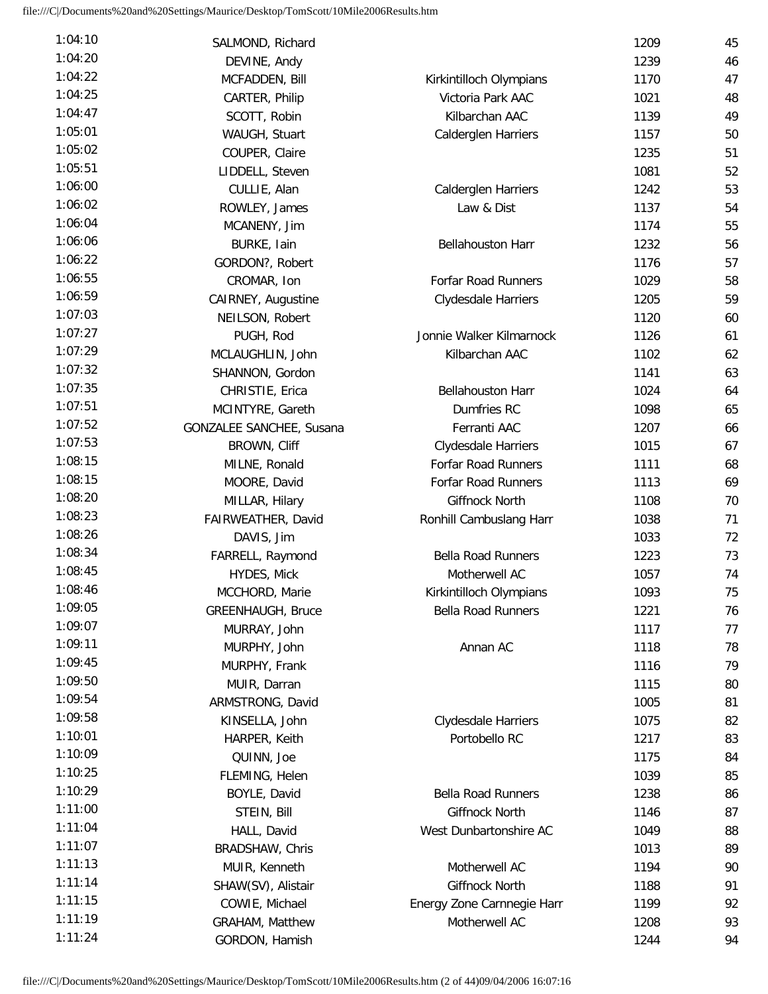| 1:04:10 | SALMOND, Richard         |                            | 1209 | 45 |
|---------|--------------------------|----------------------------|------|----|
| 1:04:20 | DEVINE, Andy             |                            | 1239 | 46 |
| 1:04:22 | MCFADDEN, Bill           | Kirkintilloch Olympians    | 1170 | 47 |
| 1:04:25 | CARTER, Philip           | Victoria Park AAC          | 1021 | 48 |
| 1:04:47 | SCOTT, Robin             | Kilbarchan AAC             | 1139 | 49 |
| 1:05:01 | WAUGH, Stuart            | Calderglen Harriers        | 1157 | 50 |
| 1:05:02 | COUPER, Claire           |                            | 1235 | 51 |
| 1:05:51 | LIDDELL, Steven          |                            | 1081 | 52 |
| 1:06:00 | CULLIE, Alan             | Calderglen Harriers        | 1242 | 53 |
| 1:06:02 | ROWLEY, James            | Law & Dist                 | 1137 | 54 |
| 1:06:04 | MCANENY, Jim             |                            | 1174 | 55 |
| 1:06:06 | BURKE, Iain              | <b>Bellahouston Harr</b>   | 1232 | 56 |
| 1:06:22 | GORDON?, Robert          |                            | 1176 | 57 |
| 1:06:55 | CROMAR, Ion              | <b>Forfar Road Runners</b> | 1029 | 58 |
| 1:06:59 | CAIRNEY, Augustine       | Clydesdale Harriers        | 1205 | 59 |
| 1:07:03 | NEILSON, Robert          |                            | 1120 | 60 |
| 1:07:27 | PUGH, Rod                | Jonnie Walker Kilmarnock   | 1126 | 61 |
| 1:07:29 | MCLAUGHLIN, John         | Kilbarchan AAC             | 1102 | 62 |
| 1:07:32 | SHANNON, Gordon          |                            | 1141 | 63 |
| 1:07:35 | CHRISTIE, Erica          | <b>Bellahouston Harr</b>   | 1024 | 64 |
| 1:07:51 | MCINTYRE, Gareth         | Dumfries RC                |      | 65 |
| 1:07:52 |                          | Ferranti AAC               | 1098 |    |
| 1:07:53 | GONZALEE SANCHEE, Susana |                            | 1207 | 66 |
| 1:08:15 | BROWN, Cliff             | Clydesdale Harriers        | 1015 | 67 |
| 1:08:15 | MILNE, Ronald            | Forfar Road Runners        | 1111 | 68 |
| 1:08:20 | MOORE, David             | <b>Forfar Road Runners</b> | 1113 | 69 |
| 1:08:23 | MILLAR, Hilary           | Giffnock North             | 1108 | 70 |
| 1:08:26 | FAIRWEATHER, David       | Ronhill Cambuslang Harr    | 1038 | 71 |
|         | DAVIS, Jim               |                            | 1033 | 72 |
| 1:08:34 | FARRELL, Raymond         | <b>Bella Road Runners</b>  | 1223 | 73 |
| 1:08:45 | HYDES, Mick              | Motherwell AC              | 1057 | 74 |
| 1:08:46 | MCCHORD, Marie           | Kirkintilloch Olympians    | 1093 | 75 |
| 1:09:05 | <b>GREENHAUGH, Bruce</b> | <b>Bella Road Runners</b>  | 1221 | 76 |
| 1:09:07 | MURRAY, John             |                            | 1117 | 77 |
| 1:09:11 | MURPHY, John             | Annan AC                   | 1118 | 78 |
| 1:09:45 | MURPHY, Frank            |                            | 1116 | 79 |
| 1:09:50 | MUIR, Darran             |                            | 1115 | 80 |
| 1:09:54 | ARMSTRONG, David         |                            | 1005 | 81 |
| 1:09:58 | KINSELLA, John           | Clydesdale Harriers        | 1075 | 82 |
| 1:10:01 | HARPER, Keith            | Portobello RC              | 1217 | 83 |
| 1:10:09 | QUINN, Joe               |                            | 1175 | 84 |
| 1:10:25 | FLEMING, Helen           |                            | 1039 | 85 |
| 1:10:29 | BOYLE, David             | <b>Bella Road Runners</b>  | 1238 | 86 |
| 1:11:00 | STEIN, Bill              | Giffnock North             | 1146 | 87 |
| 1:11:04 | HALL, David              | West Dunbartonshire AC     | 1049 | 88 |
| 1:11:07 | BRADSHAW, Chris          |                            | 1013 | 89 |
| 1:11:13 | MUIR, Kenneth            | Motherwell AC              | 1194 | 90 |
| 1:11:14 | SHAW(SV), Alistair       | Giffnock North             | 1188 | 91 |
| 1:11:15 | COWIE, Michael           | Energy Zone Carnnegie Harr | 1199 | 92 |
| 1:11:19 | GRAHAM, Matthew          | Motherwell AC              | 1208 | 93 |
| 1:11:24 | GORDON, Hamish           |                            | 1244 | 94 |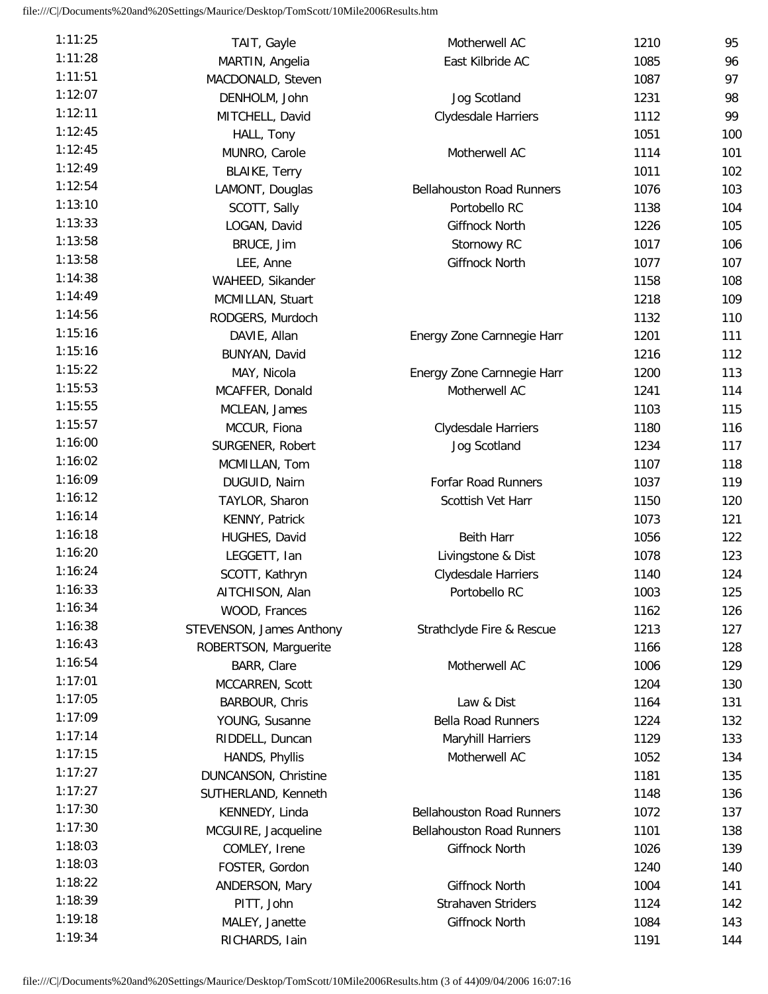| 1:11:25 | TAIT, Gayle                   | Motherwell AC                    | 1210         | 95         |
|---------|-------------------------------|----------------------------------|--------------|------------|
| 1:11:28 | MARTIN, Angelia               | East Kilbride AC                 | 1085         | 96         |
| 1:11:51 | MACDONALD, Steven             |                                  | 1087         | 97         |
| 1:12:07 | DENHOLM, John                 | Jog Scotland                     | 1231         | 98         |
| 1:12:11 | MITCHELL, David               | Clydesdale Harriers              | 1112         | 99         |
| 1:12:45 | HALL, Tony                    |                                  | 1051         | 100        |
| 1:12:45 | MUNRO, Carole                 | Motherwell AC                    | 1114         | 101        |
| 1:12:49 | <b>BLAIKE, Terry</b>          |                                  | 1011         | 102        |
| 1:12:54 | LAMONT, Douglas               | <b>Bellahouston Road Runners</b> | 1076         | 103        |
| 1:13:10 | SCOTT, Sally                  | Portobello RC                    | 1138         | 104        |
| 1:13:33 | LOGAN, David                  | <b>Giffnock North</b>            | 1226         | 105        |
| 1:13:58 | BRUCE, Jim                    | Stornowy RC                      | 1017         | 106        |
| 1:13:58 | LEE, Anne                     | Giffnock North                   | 1077         | 107        |
| 1:14:38 | WAHEED, Sikander              |                                  | 1158         | 108        |
| 1:14:49 | MCMILLAN, Stuart              |                                  | 1218         | 109        |
| 1:14:56 | RODGERS, Murdoch              |                                  | 1132         | 110        |
| 1:15:16 | DAVIE, Allan                  | Energy Zone Carnnegie Harr       | 1201         | 111        |
| 1:15:16 | BUNYAN, David                 |                                  | 1216         | 112        |
| 1:15:22 | MAY, Nicola                   | Energy Zone Carnnegie Harr       | 1200         | 113        |
| 1:15:53 | MCAFFER, Donald               | Motherwell AC                    | 1241         | 114        |
| 1:15:55 | MCLEAN, James                 |                                  | 1103         | 115        |
| 1:15:57 | MCCUR, Fiona                  | Clydesdale Harriers              | 1180         | 116        |
| 1:16:00 | SURGENER, Robert              | Jog Scotland                     | 1234         | 117        |
| 1:16:02 | MCMILLAN, Tom                 |                                  | 1107         | 118        |
| 1:16:09 | DUGUID, Nairn                 | <b>Forfar Road Runners</b>       | 1037         | 119        |
| 1:16:12 | TAYLOR, Sharon                | Scottish Vet Harr                | 1150         | 120        |
| 1:16:14 |                               |                                  | 1073         | 121        |
| 1:16:18 | KENNY, Patrick                | <b>Beith Harr</b>                |              |            |
| 1:16:20 | HUGHES, David<br>LEGGETT, Ian |                                  | 1056<br>1078 | 122<br>123 |
| 1:16:24 |                               | Livingstone & Dist               |              |            |
| 1:16:33 | SCOTT, Kathryn                | Clydesdale Harriers              | 1140         | 124        |
| 1:16:34 | AITCHISON, Alan               | Portobello RC                    | 1003         | 125        |
| 1:16:38 | WOOD, Frances                 |                                  | 1162         | 126        |
| 1:16:43 | STEVENSON, James Anthony      | Strathclyde Fire & Rescue        | 1213         | 127        |
| 1:16:54 | ROBERTSON, Marguerite         |                                  | 1166         | 128        |
| 1:17:01 | BARR, Clare                   | Motherwell AC                    | 1006         | 129        |
| 1:17:05 | MCCARREN, Scott               |                                  | 1204         | 130        |
| 1:17:09 | BARBOUR, Chris                | Law & Dist                       | 1164         | 131        |
| 1:17:14 | YOUNG, Susanne                | <b>Bella Road Runners</b>        | 1224         | 132        |
| 1:17:15 | RIDDELL, Duncan               | <b>Maryhill Harriers</b>         | 1129         | 133        |
| 1:17:27 | HANDS, Phyllis                | Motherwell AC                    | 1052         | 134        |
| 1:17:27 | DUNCANSON, Christine          |                                  | 1181         | 135        |
|         | SUTHERLAND, Kenneth           |                                  | 1148         | 136        |
| 1:17:30 | KENNEDY, Linda                | <b>Bellahouston Road Runners</b> | 1072         | 137        |
| 1:17:30 | MCGUIRE, Jacqueline           | <b>Bellahouston Road Runners</b> | 1101         | 138        |
| 1:18:03 | COMLEY, Irene                 | Giffnock North                   | 1026         | 139        |
| 1:18:03 | FOSTER, Gordon                |                                  | 1240         | 140        |
| 1:18:22 | ANDERSON, Mary                | <b>Giffnock North</b>            | 1004         | 141        |
| 1:18:39 | PITT, John                    | <b>Strahaven Striders</b>        | 1124         | 142        |
| 1:19:18 | MALEY, Janette                | Giffnock North                   | 1084         | 143        |
| 1:19:34 | RICHARDS, Iain                |                                  | 1191         | 144        |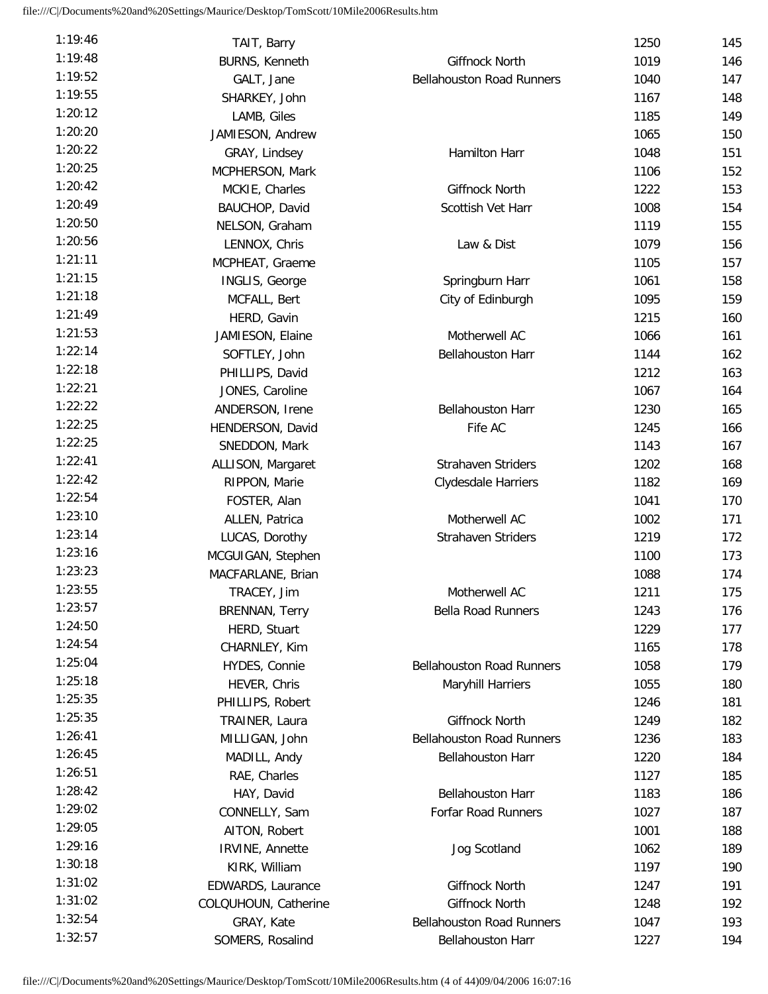| 1:19:46            | TAIT, Barry           |                                  | 1250 | 145 |
|--------------------|-----------------------|----------------------------------|------|-----|
| 1:19:48            | BURNS, Kenneth        | Giffnock North                   | 1019 | 146 |
| 1:19:52            | GALT, Jane            | <b>Bellahouston Road Runners</b> | 1040 | 147 |
| 1:19:55            | SHARKEY, John         |                                  | 1167 | 148 |
| 1:20:12            | LAMB, Giles           |                                  | 1185 | 149 |
| 1:20:20            | JAMIESON, Andrew      |                                  | 1065 | 150 |
| 1:20:22            | GRAY, Lindsey         | Hamilton Harr                    | 1048 | 151 |
| 1:20:25            | MCPHERSON, Mark       |                                  | 1106 | 152 |
| 1:20:42            | MCKIE, Charles        | <b>Giffnock North</b>            | 1222 | 153 |
| 1:20:49            | BAUCHOP, David        | Scottish Vet Harr                | 1008 | 154 |
| 1:20:50            | NELSON, Graham        |                                  | 1119 | 155 |
| 1:20:56            | LENNOX, Chris         | Law & Dist                       | 1079 | 156 |
| 1:21:11            | MCPHEAT, Graeme       |                                  | 1105 | 157 |
| 1:21:15            | INGLIS, George        | Springburn Harr                  | 1061 | 158 |
| 1:21:18            | MCFALL, Bert          | City of Edinburgh                | 1095 | 159 |
| 1:21:49            | HERD, Gavin           |                                  | 1215 | 160 |
| 1:21:53            | JAMIESON, Elaine      | Motherwell AC                    | 1066 | 161 |
| 1:22:14            | SOFTLEY, John         | Bellahouston Harr                | 1144 | 162 |
| 1:22:18            | PHILLIPS, David       |                                  | 1212 | 163 |
| 1:22:21            | JONES, Caroline       |                                  | 1067 | 164 |
| 1:22:22            | ANDERSON, Irene       | <b>Bellahouston Harr</b>         | 1230 | 165 |
| 1:22:25            | HENDERSON, David      | Fife AC                          | 1245 | 166 |
| 1:22:25            | SNEDDON, Mark         |                                  | 1143 | 167 |
| 1:22:41            |                       | <b>Strahaven Striders</b>        | 1202 | 168 |
| 1:22:42            | ALLISON, Margaret     |                                  | 1182 | 169 |
| 1:22:54            | RIPPON, Marie         | Clydesdale Harriers              |      |     |
| 1:23:10            | FOSTER, Alan          |                                  | 1041 | 170 |
| 1:23:14            | ALLEN, Patrica        | Motherwell AC                    | 1002 | 171 |
| 1:23:16            | LUCAS, Dorothy        | <b>Strahaven Striders</b>        | 1219 | 172 |
| 1:23:23            | MCGUIGAN, Stephen     |                                  | 1100 | 173 |
| 1:23:55            | MACFARLANE, Brian     |                                  | 1088 | 174 |
|                    | TRACEY, Jim           | Motherwell AC                    | 1211 | 175 |
| 1:23:57<br>1:24:50 | <b>BRENNAN, Terry</b> | <b>Bella Road Runners</b>        | 1243 | 176 |
|                    | HERD, Stuart          |                                  | 1229 | 177 |
| 1:24:54            | CHARNLEY, Kim         |                                  | 1165 | 178 |
| 1:25:04            | HYDES, Connie         | <b>Bellahouston Road Runners</b> | 1058 | 179 |
| 1:25:18            | HEVER, Chris          | Maryhill Harriers                | 1055 | 180 |
| 1:25:35            | PHILLIPS, Robert      |                                  | 1246 | 181 |
| 1:25:35            | TRAINER, Laura        | Giffnock North                   | 1249 | 182 |
| 1:26:41            | MILLIGAN, John        | <b>Bellahouston Road Runners</b> | 1236 | 183 |
| 1:26:45            | MADILL, Andy          | <b>Bellahouston Harr</b>         | 1220 | 184 |
| 1:26:51            | RAE, Charles          |                                  | 1127 | 185 |
| 1:28:42            | HAY, David            | <b>Bellahouston Harr</b>         | 1183 | 186 |
| 1:29:02            | CONNELLY, Sam         | <b>Forfar Road Runners</b>       | 1027 | 187 |
| 1:29:05            | AITON, Robert         |                                  | 1001 | 188 |
| 1:29:16            | IRVINE, Annette       | Jog Scotland                     | 1062 | 189 |
| 1:30:18            | KIRK, William         |                                  | 1197 | 190 |
| 1:31:02            | EDWARDS, Laurance     | Giffnock North                   | 1247 | 191 |
| 1:31:02            | COLQUHOUN, Catherine  | Giffnock North                   | 1248 | 192 |
| 1:32:54            | GRAY, Kate            | <b>Bellahouston Road Runners</b> | 1047 | 193 |
| 1:32:57            | SOMERS, Rosalind      | <b>Bellahouston Harr</b>         | 1227 | 194 |